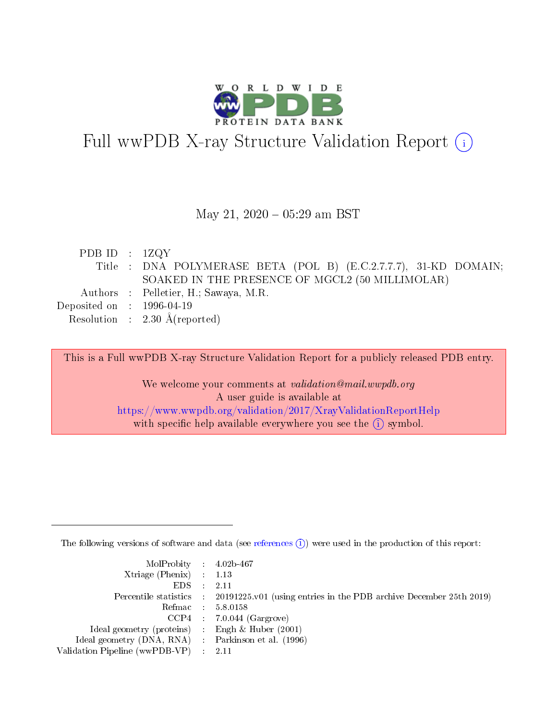

# Full wwPDB X-ray Structure Validation Report (i)

#### May 21,  $2020 - 05:29$  am BST

| PDB ID : $1ZQY$                      |                                                                  |
|--------------------------------------|------------------------------------------------------------------|
|                                      | Title : DNA POLYMERASE BETA (POL B) (E.C.2.7.7.7), 31-KD DOMAIN; |
|                                      | SOAKED IN THE PRESENCE OF MGCL2 (50 MILLIMOLAR)                  |
|                                      | Authors : Pelletier, H.; Sawaya, M.R.                            |
| Deposited on $\therefore$ 1996-04-19 |                                                                  |
|                                      | Resolution : $2.30 \text{ Å}$ (reported)                         |

This is a Full wwPDB X-ray Structure Validation Report for a publicly released PDB entry.

We welcome your comments at validation@mail.wwpdb.org A user guide is available at <https://www.wwpdb.org/validation/2017/XrayValidationReportHelp> with specific help available everywhere you see the  $(i)$  symbol.

The following versions of software and data (see [references](https://www.wwpdb.org/validation/2017/XrayValidationReportHelp#references)  $(i)$ ) were used in the production of this report:

| $MolProbability$ 4.02b-467                          |                                                                                            |
|-----------------------------------------------------|--------------------------------------------------------------------------------------------|
| Xtriage (Phenix) $: 1.13$                           |                                                                                            |
| $EDS$ :                                             | -2.11                                                                                      |
|                                                     | Percentile statistics : 20191225.v01 (using entries in the PDB archive December 25th 2019) |
|                                                     | Refmac : 5.8.0158                                                                          |
|                                                     | $CCP4$ : 7.0.044 (Gargrove)                                                                |
| Ideal geometry (proteins) : Engh $\&$ Huber (2001)  |                                                                                            |
| Ideal geometry (DNA, RNA) : Parkinson et al. (1996) |                                                                                            |
| Validation Pipeline (wwPDB-VP)                      | -2.11                                                                                      |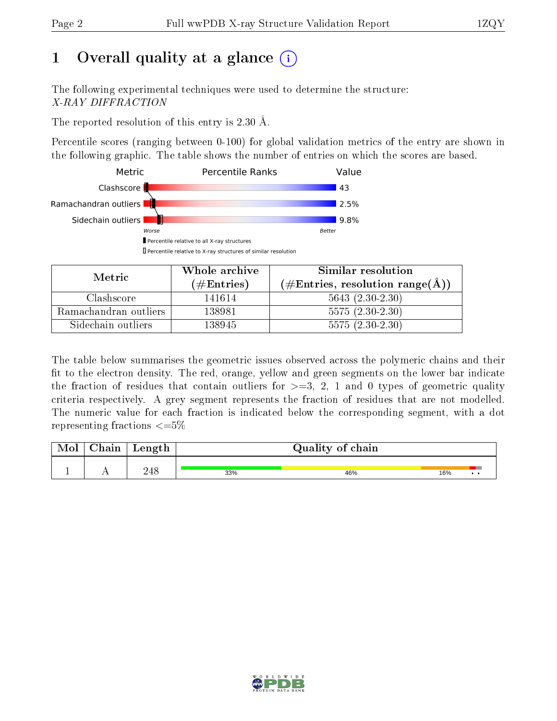## 1 [O](https://www.wwpdb.org/validation/2017/XrayValidationReportHelp#overall_quality)verall quality at a glance  $(i)$

The following experimental techniques were used to determine the structure: X-RAY DIFFRACTION

The reported resolution of this entry is 2.30 Å.

Percentile scores (ranging between 0-100) for global validation metrics of the entry are shown in the following graphic. The table shows the number of entries on which the scores are based.



| Metric                | Whole archive        | Similar resolution                                         |  |  |  |
|-----------------------|----------------------|------------------------------------------------------------|--|--|--|
|                       | $(\#\text{Entries})$ | $(\#\text{Entries}, \text{resolution range}(\text{\AA})\)$ |  |  |  |
| Clashscore            | 141614               | $5643(2.30-2.30)$                                          |  |  |  |
| Ramachandran outliers | 138981               | $5575(2.30-2.30)$                                          |  |  |  |
| Sidechain outliers    | 138945               | $5575(2.30-2.30)$                                          |  |  |  |

The table below summarises the geometric issues observed across the polymeric chains and their fit to the electron density. The red, orange, yellow and green segments on the lower bar indicate the fraction of residues that contain outliers for  $\geq=3$ , 2, 1 and 0 types of geometric quality criteria respectively. A grey segment represents the fraction of residues that are not modelled. The numeric value for each fraction is indicated below the corresponding segment, with a dot representing fractions  $\leq=5\%$ 

| Mol | Chain | Length | Quality of chain |     |     |  |  |  |
|-----|-------|--------|------------------|-----|-----|--|--|--|
|     |       | 248    | 33%              | 46% | 16% |  |  |  |

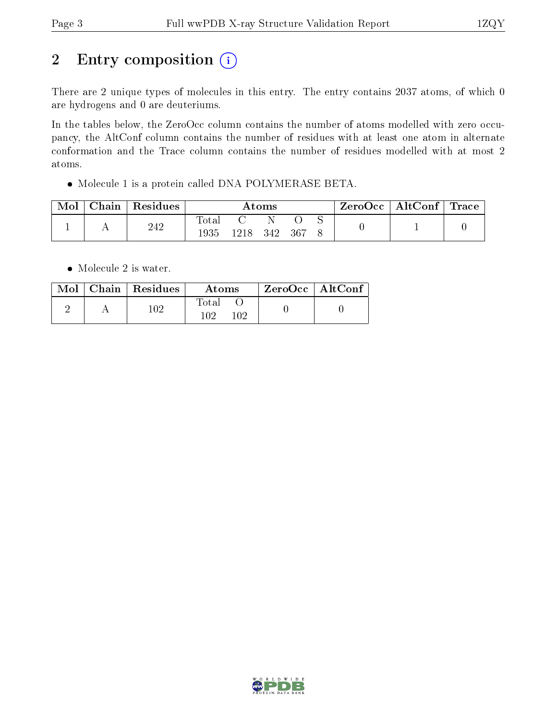# 2 Entry composition (i)

There are 2 unique types of molecules in this entry. The entry contains 2037 atoms, of which 0 are hydrogens and 0 are deuteriums.

In the tables below, the ZeroOcc column contains the number of atoms modelled with zero occupancy, the AltConf column contains the number of residues with at least one atom in alternate conformation and the Trace column contains the number of residues modelled with at most 2 atoms.

Molecule 1 is a protein called DNA POLYMERASE BETA.

| Mol | Chain | $\perp$ Residues | Atoms                    |       |     |     | $\text{ZeroOcc} \mid \text{AltConf} \mid \text{Trace}$ |  |  |
|-----|-------|------------------|--------------------------|-------|-----|-----|--------------------------------------------------------|--|--|
|     |       | 242              | $\mathrm{Total}$<br>1935 | 1218. | 342 | 367 |                                                        |  |  |

• Molecule 2 is water.

|  | Mol   Chain   Residues | Atoms               | $ZeroOcc \mid AltConf$ |  |
|--|------------------------|---------------------|------------------------|--|
|  | 102                    | Total<br>102<br>102 |                        |  |

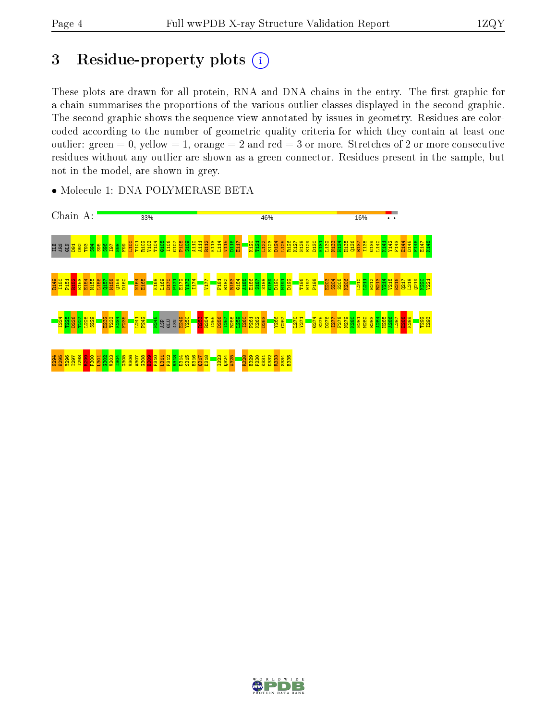## 3 Residue-property plots (i)

These plots are drawn for all protein, RNA and DNA chains in the entry. The first graphic for a chain summarises the proportions of the various outlier classes displayed in the second graphic. The second graphic shows the sequence view annotated by issues in geometry. Residues are colorcoded according to the number of geometric quality criteria for which they contain at least one outlier: green  $= 0$ , yellow  $= 1$ , orange  $= 2$  and red  $= 3$  or more. Stretches of 2 or more consecutive residues without any outlier are shown as a green connector. Residues present in the sample, but not in the model, are shown in grey.



• Molecule 1: DNA POLYMERASE BETA

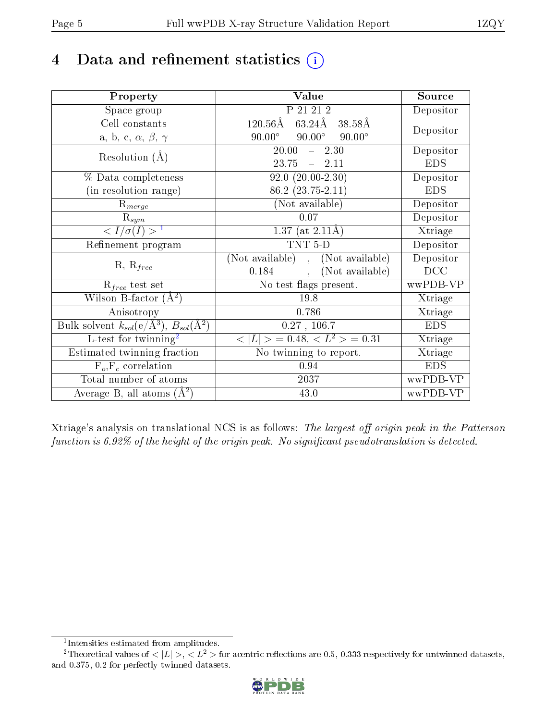## 4 Data and refinement statistics  $(i)$

| Property                                                             | Value                                           | Source     |
|----------------------------------------------------------------------|-------------------------------------------------|------------|
| Space group                                                          | P 21 21 2                                       | Depositor  |
| Cell constants                                                       | $120.56\text{\AA}$<br>63.24Å 38.58Å             |            |
| a, b, c, $\alpha$ , $\beta$ , $\gamma$                               | $90.00^\circ$<br>$90.00^\circ$<br>$90.00^\circ$ | Depositor  |
| Resolution $(A)$                                                     | $20.00 - 2.30$                                  | Depositor  |
|                                                                      | $23.75 - 2.11$                                  | <b>EDS</b> |
| % Data completeness                                                  | $92.0(20.00-2.30)$                              | Depositor  |
| (in resolution range)                                                | $86.2(23.75-2.11)$                              | <b>EDS</b> |
| $R_{merge}$                                                          | (Not available)                                 | Depositor  |
| $\mathrm{R}_{sym}$                                                   | 0.07                                            | Depositor  |
| $\langle I/\sigma(I) \rangle^{-1}$                                   | $1.37$ (at 2.11Å)                               | Xtriage    |
| Refinement program                                                   | $TNT 5-D$                                       | Depositor  |
|                                                                      | (Not available), (Not available)                | Depositor  |
| $R, R_{free}$                                                        | $0.184,$ ,<br>(Not available)                   | DCC        |
| $\mathcal{R}_{free}$ test set                                        | No test flags present.                          | wwPDB-VP   |
| Wilson B-factor $(A^2)$                                              | 19.8                                            | Xtriage    |
| Anisotropy                                                           | 0.786                                           | Xtriage    |
| Bulk solvent $k_{sol}(e/\mathring{A}^3)$ , $B_{sol}(\mathring{A}^2)$ | 0.27, 106.7                                     | <b>EDS</b> |
| L-test for $\text{twinning}^2$                                       | $< L >$ = 0.48, $< L2 >$ = 0.31                 | Xtriage    |
| Estimated twinning fraction                                          | No twinning to report.                          | Xtriage    |
| $F_o, F_c$ correlation                                               | 0.94                                            | <b>EDS</b> |
| Total number of atoms                                                | 2037                                            | wwPDB-VP   |
| Average B, all atoms $(A^2)$                                         | 43.0                                            | wwPDB-VP   |

Xtriage's analysis on translational NCS is as follows: The largest off-origin peak in the Patterson function is  $6.92\%$  of the height of the origin peak. No significant pseudotranslation is detected.

<sup>&</sup>lt;sup>2</sup>Theoretical values of  $\langle |L| \rangle$ ,  $\langle L^2 \rangle$  for acentric reflections are 0.5, 0.333 respectively for untwinned datasets, and 0.375, 0.2 for perfectly twinned datasets.



<span id="page-4-1"></span><span id="page-4-0"></span><sup>1</sup> Intensities estimated from amplitudes.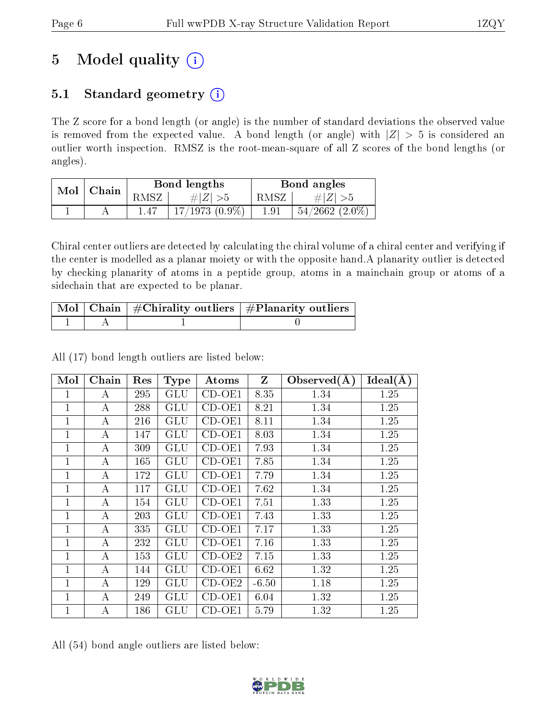## 5 Model quality  $(i)$

### 5.1 Standard geometry  $(i)$

The Z score for a bond length (or angle) is the number of standard deviations the observed value is removed from the expected value. A bond length (or angle) with  $|Z| > 5$  is considered an outlier worth inspection. RMSZ is the root-mean-square of all Z scores of the bond lengths (or angles).

| Mol | Chain |     | Bond lengths        | Bond angles |                    |  |
|-----|-------|-----|---------------------|-------------|--------------------|--|
|     |       | MSZ | # $ Z  > 5$         | RMSZ        | $\# Z  > 5$        |  |
|     |       |     | $17/1973$ $(0.9\%)$ | $1.91\,$    | $54/2662$ $(2.0\%$ |  |

Chiral center outliers are detected by calculating the chiral volume of a chiral center and verifying if the center is modelled as a planar moiety or with the opposite hand.A planarity outlier is detected by checking planarity of atoms in a peptide group, atoms in a mainchain group or atoms of a sidechain that are expected to be planar.

|  | $\lceil$ Mol $\rceil$ Chain $\mid$ #Chirality outliers $\mid$ #Planarity outliers $\mid$ |
|--|------------------------------------------------------------------------------------------|
|  |                                                                                          |

|  |  |  |  | All (17) bond length outliers are listed below: |  |  |  |  |
|--|--|--|--|-------------------------------------------------|--|--|--|--|
|--|--|--|--|-------------------------------------------------|--|--|--|--|

| Mol            | Chain            | Res | <b>Type</b>          | Atoms    | $\mathbf{Z}$ | Observed $(\AA)$ | Ideal(A) |
|----------------|------------------|-----|----------------------|----------|--------------|------------------|----------|
| 1              | A                | 295 | GLU                  | $CD-OE1$ | 8.35         | 1.34             | 1.25     |
| 1              | $\boldsymbol{A}$ | 288 | <b>GLU</b>           | $CD-OE1$ | 8.21         | 1.34             | 1.25     |
| 1              | А                | 216 | GLU                  | $CD-OE1$ | 8.11         | 1.34             | 1.25     |
| $\mathbf 1$    | А                | 147 | GLU                  | $CD-OE1$ | 8.03         | 1.34             | 1.25     |
| $\mathbf 1$    | А                | 309 | GLU                  | $CD-OE1$ | 7.93         | 1.34             | 1.25     |
| $\mathbf{1}$   | А                | 165 | GLU                  | CD-OE1   | 7.85         | 1.34             | 1.25     |
| $\overline{1}$ | А                | 172 | GLU                  | CD-OE1   | 7.79         | 1.34             | 1.25     |
| $\mathbf{1}$   | А                | 117 | GLU                  | CD-OE1   | 7.62         | 1.34             | 1.25     |
| $\mathbf 1$    | A                | 154 | GLU                  | $CD-OE1$ | 7.51         | 1.33             | 1.25     |
| 1              | А                | 203 | GLU                  | $CD-OE1$ | 7.43         | 1.33             | 1.25     |
| $\overline{1}$ | А                | 335 | GLU                  | $CD-OE1$ | 7.17         | 1.33             | 1.25     |
| 1              | $\boldsymbol{A}$ | 232 | GLU                  | $CD-OE1$ | 7.16         | 1.33             | 1.25     |
| 1              | A                | 153 | GLU                  | $CD-OE2$ | 7.15         | 1.33             | 1.25     |
| $\mathbf 1$    | A                | 144 | GLU                  | $CD-OE1$ | 6.62         | 1.32             | 1.25     |
| 1              | А                | 129 | GLU                  | $CD-OE2$ | $-6.50$      | 1.18             | 1.25     |
| $\mathbf{1}$   | А                | 249 | GLU                  | $CD-OE1$ | 6.04         | 1.32             | 1.25     |
| 1              | A                | 186 | $\operatorname{GLU}$ | $CD-OE1$ | 5.79         | 1.32             | 1.25     |

All (54) bond angle outliers are listed below:

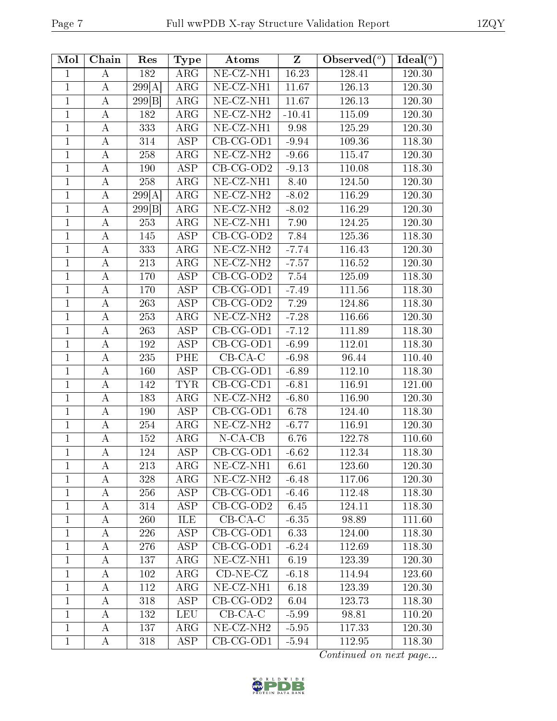| Mol            | Chain              | Res              | <b>Type</b>             | Atoms                          | Z        | Observed $(°)$ | Ideal $(°)$ |
|----------------|--------------------|------------------|-------------------------|--------------------------------|----------|----------------|-------------|
| $\mathbf{1}$   | А                  | 182              | $\rm{ARG}$              | $\overline{\text{NE-CZ-NH1}}$  | 16.23    | 128.41         | 120.30      |
| $\mathbf{1}$   | $\boldsymbol{A}$   | 299[A]           | ARG                     | NE-CZ-NH1                      | 11.67    | 126.13         | 120.30      |
| $\mathbf{1}$   | $\bf{A}$           | 299 B            | ARG                     | NE-CZ-NH1                      | 11.67    | 126.13         | 120.30      |
| $\mathbf{1}$   | $\boldsymbol{A}$   | 182              | $\overline{\text{ARG}}$ | NE-CZ-NH <sub>2</sub>          | $-10.41$ | 115.09         | 120.30      |
| $\mathbf{1}$   | $\boldsymbol{A}$   | 333              | $\rm{ARG}$              | $\overline{\text{NE-CL-NH1}}$  | 9.98     | 125.29         | 120.30      |
| $\overline{1}$ | A                  | 314              | $\overline{\text{ASP}}$ | $\overline{\text{CB-CG-OD1}}$  | $-9.94$  | 109.36         | 118.30      |
| 1              | $\boldsymbol{A}$   | 258              | $\rm{ARG}$              | $\overline{\text{NE- CZ-NH2}}$ | $-9.66$  | 115.47         | $120.30\,$  |
| 1              | $\boldsymbol{A}$   | 190              | <b>ASP</b>              | $CB-CG-OD2$                    | $-9.13$  | 110.08         | 118.30      |
| $\mathbf{1}$   | А                  | 258              | ARG                     | $\overline{\text{NE- CZ-NH1}}$ | 8.40     | 124.50         | 120.30      |
| $\mathbf{1}$   | $\boldsymbol{A}$   | 299[A]           | $\rm{ARG}$              | NE-CZ-NH <sub>2</sub>          | $-8.02$  | 116.29         | 120.30      |
| $\mathbf{1}$   | $\bf{A}$           | 299 B            | ARG                     | $NE- CZ-NH2$                   | $-8.02$  | 116.29         | 120.30      |
| 1              | А                  | 253              | $\rm{ARG}$              | NE-CZ-NH1                      | 7.90     | 124.25         | 120.30      |
| $\mathbf{1}$   | А                  | 145              | <b>ASP</b>              | $CB-CG-OD2$                    | 7.84     | 125.36         | 118.30      |
| $\mathbf 1$    | А                  | 333              | $\rm{ARG}$              | $\overline{\text{NE- CZ-NH2}}$ | $-7.74$  | 116.43         | 120.30      |
| $\mathbf{1}$   | А                  | 213              | $\rm{ARG}$              | NE-CZ-NH <sub>2</sub>          | $-7.57$  | 116.52         | 120.30      |
| $\mathbf{1}$   | А                  | 170              | <b>ASP</b>              | $CB-CG-OD2$                    | 7.54     | 125.09         | 118.30      |
| $\mathbf{1}$   | $\bf{A}$           | 170              | <b>ASP</b>              | $CB-CG-OD1$                    | $-7.49$  | 111.56         | 118.30      |
| $\mathbf{1}$   | $\bf{A}$           | 263              | <b>ASP</b>              | $CB-CG-OD2$                    | 7.29     | 124.86         | 118.30      |
| $\mathbf{1}$   | А                  | 253              | ARG                     | $NE- CZ-NH2$                   | $-7.28$  | 116.66         | 120.30      |
| $\mathbf{1}$   | $\bf{A}$           | 263              | <b>ASP</b>              | $\overline{CB}$ -CG-OD1        | $-7.12$  | 111.89         | 118.30      |
| $\mathbf{1}$   | $\overline{\rm A}$ | $\overline{192}$ | <b>ASP</b>              | $CB-CG-OD1$                    | $-6.99$  | 112.01         | 118.30      |
| $\mathbf{1}$   | А                  | 235              | <b>PHE</b>              | $CB-CA-C$                      | $-6.98$  | 96.44          | 110.40      |
| $\mathbf{1}$   | $\boldsymbol{A}$   | 160              | <b>ASP</b>              | $CB-CG-OD1$                    | $-6.89$  | 112.10         | 118.30      |
| $\mathbf{1}$   | А                  | 142              | <b>TYR</b>              | $CB-CG-CD1$                    | $-6.81$  | 116.91         | 121.00      |
| $\mathbf{1}$   | $\boldsymbol{A}$   | 183              | $\rm{ARG}$              | $NE- CZ-NH2$                   | $-6.80$  | 116.90         | 120.30      |
| $\mathbf{1}$   | А                  | 190              | <b>ASP</b>              | CB-CG-OD1                      | 6.78     | 124.40         | 118.30      |
| $\mathbf{1}$   | А                  | 254              | $\rm{ARG}$              | $NE- CZ-NH2$                   | $-6.77$  | 116.91         | 120.30      |
| $\mathbf{1}$   | $\bf{A}$           | 152              | $\rm{ARG}$              | $N$ -CA-CB                     | 6.76     | 122.78         | 110.60      |
| $\mathbf{1}$   | $\boldsymbol{A}$   | 124              | <b>ASP</b>              | $CB-CG-OD1$                    | $-6.62$  | 112.34         | 118.30      |
| $\mathbf 1$    | А                  | 213              | $\rm{ARG}$              | NE-CZ-NH1                      | 6.61     | 123.60         | 120.30      |
| 1              | А                  | 328              | $\rm{ARG}$              | $NE- CZ-NH2$                   | $-6.48$  | 117.06         | 120.30      |
| $\mathbf 1$    | A                  | 256              | <b>ASP</b>              | $CB-CG-OD1$                    | $-6.46$  | 112.48         | 118.30      |
| $\mathbf{1}$   | А                  | 314              | <b>ASP</b>              | $CB-CG-OD2$                    | 6.45     | 124.11         | 118.30      |
| $\mathbf{1}$   | A                  | 260              | ILE                     | $CB-CA-C$                      | $-6.35$  | 98.89          | 111.60      |
| $\mathbf{1}$   | А                  | 226              | ASP                     | $CB-CG-OD1$                    | 6.33     | 124.00         | 118.30      |
| $\mathbf{1}$   | A                  | 276              | <b>ASP</b>              | $CB-CG-OD1$                    | $-6.24$  | 112.69         | 118.30      |
| $\mathbf{1}$   | A                  | 137              | $\rm{ARG}$              | NE-CZ-NH1                      | 6.19     | 123.39         | 120.30      |
| $\mathbf{1}$   | A                  | 102              | $\rm{ARG}$              | $CD-NE- CZ$                    | $-6.18$  | 114.94         | 123.60      |
| $\mathbf{1}$   | А                  | 112              | $\rm{ARG}$              | NE-CZ-NH1                      | 6.18     | 123.39         | 120.30      |
| $\mathbf{1}$   | А                  | 318              | $\overline{\text{ASP}}$ | $CB-CG-OD2$                    | 6.04     | 123.73         | 118.30      |
| $\mathbf{1}$   | А                  | 132              | <b>LEU</b>              | $CB-CA-C$                      | $-5.99$  | 98.81          | 110.20      |
| $\mathbf{1}$   | А                  | 137              | $\rm{ARG}$              | NE-CZ-NH <sub>2</sub>          | $-5.95$  | 117.33         | 120.30      |
| $\mathbf{1}$   | А                  | 318              | <b>ASP</b>              | $CB-CG-OD1$                    | $-5.94$  | 112.95         | 118.30      |

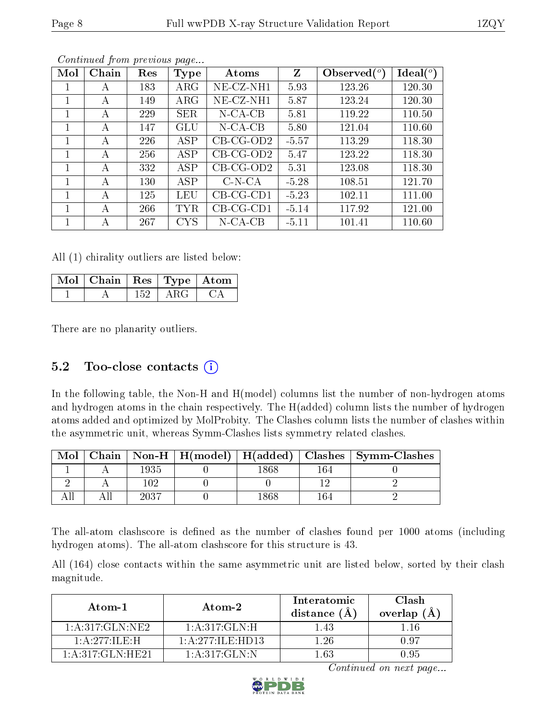| Mol          | Chain | Res | Type        | Atoms       | Z       | Observed $(°)$ | $Ideal(^o)$ |
|--------------|-------|-----|-------------|-------------|---------|----------------|-------------|
|              | A     | 183 | $\rm{ARG}$  | NE-CZ-NH1   | 5.93    | 123.26         | 120.30      |
|              | A     | 149 | ${\rm ARG}$ | NE-CZ-NH1   | 5.87    | 123.24         | 120.30      |
|              | A     | 229 | <b>SER</b>  | $N$ -CA-CB  | 5.81    | 119.22         | 110.50      |
|              | A     | 147 | GLU         | $N$ -CA-CB  | 5.80    | 121.04         | 110.60      |
| 1            | А     | 226 | <b>ASP</b>  | $CB-CG-OD2$ | $-5.57$ | 113.29         | 118.30      |
| $\mathbf{1}$ | А     | 256 | <b>ASP</b>  | $CB-CG-OD2$ | 5.47    | 123.22         | 118.30      |
|              | А     | 332 | ASP         | $CB-CG-OD2$ | 5.31    | 123.08         | 118.30      |
|              | A     | 130 | ASP         | $C-N-CA$    | $-5.28$ | 108.51         | 121.70      |
|              | А     | 125 | LEU         | $CB-CG-CD1$ | $-5.23$ | 102.11         | 111.00      |
|              | А     | 266 | TYR         | $CB-CG-CD1$ | $-5.14$ | 117.92         | 121.00      |
|              | А     | 267 | <b>CYS</b>  | $N$ -CA-CB  | $-5.11$ | 101.41         | 110.60      |

All (1) chirality outliers are listed below:

| Mol   Chain   Res   Type   Atom |     |       |  |
|---------------------------------|-----|-------|--|
|                                 | 152 | A R G |  |

There are no planarity outliers.

### 5.2 Too-close contacts  $(i)$

In the following table, the Non-H and H(model) columns list the number of non-hydrogen atoms and hydrogen atoms in the chain respectively. The H(added) column lists the number of hydrogen atoms added and optimized by MolProbity. The Clashes column lists the number of clashes within the asymmetric unit, whereas Symm-Clashes lists symmetry related clashes.

| $\bf{Mol}$ |      |      |     | Chain   Non-H   H(model)   H(added)   Clashes   Symm-Clashes |
|------------|------|------|-----|--------------------------------------------------------------|
|            | 1935 | .868 | 164 |                                                              |
|            | 109  |      |     |                                                              |
|            | 2037 | 868  | 164 |                                                              |

The all-atom clashscore is defined as the number of clashes found per 1000 atoms (including hydrogen atoms). The all-atom clashscore for this structure is 43.

All (164) close contacts within the same asymmetric unit are listed below, sorted by their clash magnitude.

| Atom-1              | Atom-2                 | Interatomic<br>distance (Å | Clash<br>overlap $(A)$ |
|---------------------|------------------------|----------------------------|------------------------|
| 1: A:317: GLN:NE2   | 1: A:317: GLN:H        | 1.43                       |                        |
| 1: A.277: ILE:H     | $1:$ A $277:$ ILE HD13 | - 26                       | በ ዓ7                   |
| 1: A:317: GLN: HE21 | 1: A:317: GLN:N        | 1 63                       | $-1.95$                |

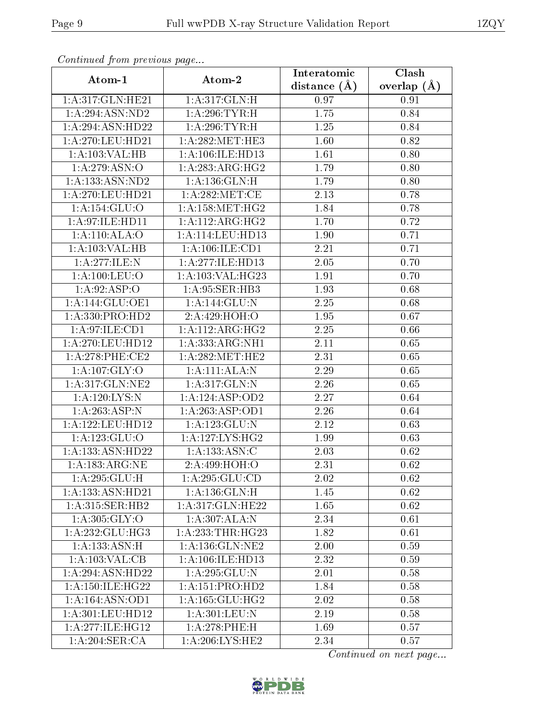| Atom-1              | Atom-2                                   | Interatomic    | Clash         |
|---------------------|------------------------------------------|----------------|---------------|
|                     |                                          | distance $(A)$ | overlap $(A)$ |
| 1: A:317: GLN: HE21 | 1: A:317: GLN: H                         | 0.97           | 0.91          |
| 1:A:294:ASN:ND2     | 1: A:296:TYR:H                           | 1.75           | 0.84          |
| 1:A:294:ASN:HD22    | 1: A:296:TYR:H                           | 1.25           | 0.84          |
| 1:A:270:LEU:HD21    | 1: A:282:MET:HE3                         | 1.60           | 0.82          |
| 1:A:103:VAL:HB      | 1: A: 106: ILE: HD13                     | 1.61           | 0.80          |
| 1:A:279:ASN:O       | 1:A:283:ARG:HG2                          | 1.79           | 0.80          |
| 1: A: 133: ASN: ND2 | 1: A: 136: GLN: H                        | 1.79           | 0.80          |
| 1:A:270:LEU:HD21    | 1: A:282:MET:CE                          | 2.13           | 0.78          |
| 1:A:154:GLU:O       | 1: A: 158: MET:HG2                       | 1.84           | 0.78          |
| 1: A:97: ILE: HD11  | 1:A:112:ARG:HG2                          | 1.70           | 0.72          |
| 1:A:110:ALA:O       | 1:A:114:LEU:HD13                         | 1.90           | 0.71          |
| 1:A:103:VAL:HB      | 1: A:106: ILE: CD1                       | 2.21           | 0.71          |
| 1: A:277: ILE:N     | 1:A:277:ILE:HD13                         | 2.05           | 0.70          |
| 1: A: 100: LEU: O   | 1:A:103:VAL:HG23                         | 1.91           | 0.70          |
| 1:A:92:ASP:O        | 1:A:95:SER:HB3                           | 1.93           | 0.68          |
| 1:A:144:GLU:OE1     | 1: A:144: GLU:N                          | 2.25           | 0.68          |
| 1:A:330:PRO:HD2     | 2:A:429:HOH:O                            | 1.95           | 0.67          |
| 1:A:97:ILE:CD1      | $1:A:112:AR\overline{G:HG2}$             | 2.25           | 0.66          |
| 1:A:270:LEU:HD12    | 1:A:333:ARG:NH1                          | 2.11           | 0.65          |
| $1: A:278:$ PHE:CE2 | 1: A:282:MET:HE2                         | 2.31           | 0.65          |
| 1: A:107: GLY:O     | 1:A:111:ALA:N                            | 2.29           | 0.65          |
| 1:A:317:GLN:NE2     | 1:A:317:GLN:N                            | 2.26           | 0.65          |
| 1: A: 120: LYS:N    | 1:A:124:ASP:OD2                          | 2.27           | 0.64          |
| 1: A:263:ASP:N      | 1:A:263:ASP:OD1                          | 2.26           | 0.64          |
| 1:A:122:LEU:HD12    | 1: A: 123: GLU:N                         | 2.12           | 0.63          |
| 1:A:123:GLU:O       | 1: A: 127: LYS: HG2                      | 1.99           | 0.63          |
| 1:A:133:ASN:HD22    | 1: A: 133: ASN: C                        | 2.03           | 0.62          |
| 1:A:183:ARG:NE      | 2:A:499:HOH:O                            | 2.31           | 0.62          |
| 1: A:295: GLU: H    | 1:A:295:GLU:CD                           | 2.02           | 0.62          |
| 1:A:133:ASN:HD21    | 1: A: 136: GLN: H                        | 1.45           | 0.62          |
| 1: A:315: SER: HB2  | 1:A:317:GLN:HE22                         | 1.65           | 0.62          |
| 1: A: 305: GLY:O    | 1:A:307:ALA:N                            | 2.34           | 0.61          |
| 1: A:232: GLU:HG3   | $1:\overline{A}:233:\overline{THR}:HG23$ | 1.82           | 0.61          |
| 1: A: 133: ASN:H    | 1: A: 136: GLN: NE2                      | 2.00           | 0.59          |
| 1: A: 103: VAL: CB  | 1: A:106: ILE: HD13                      | 2.32           | 0.59          |
| 1:A:294:ASN:HD22    | 1: A: 295: GLU: N                        | 2.01           | 0.58          |
| 1: A:150: ILE:HG22  | 1:A:151:PRO:H <sub>D2</sub>              | 1.84           | 0.58          |
| 1:A:164:ASN:OD1     | 1: A: 165: GLU: HG2                      | 2.02           | 0.58          |
| 1:A:301:LEU:HD12    | 1:A:301:LEU:N                            | 2.19           | 0.58          |
| 1: A:277: ILE: HG12 | 1:A:278:PHE:H                            | 1.69           | 0.57          |
| 1:A:204:SER:CA      | 1: A:206:LYS:HE2                         | 2.34           | 0.57          |

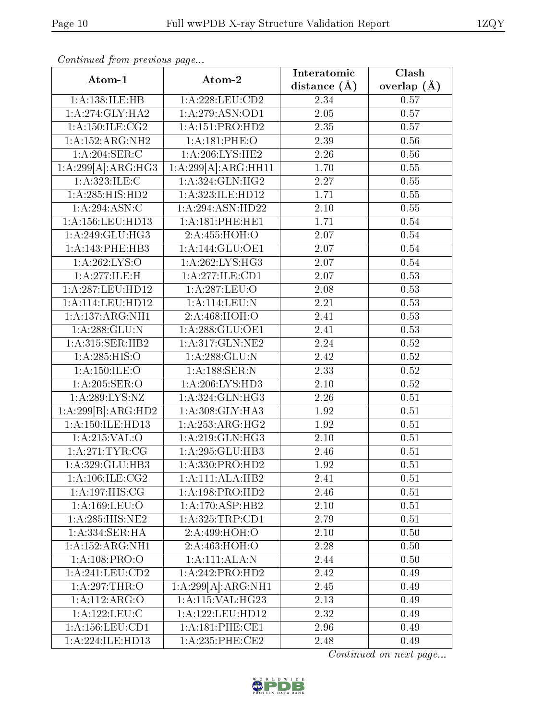| Atom-1                                    | Atom-2                                                                                                                                                                                                        | Interatomic      | Clash           |
|-------------------------------------------|---------------------------------------------------------------------------------------------------------------------------------------------------------------------------------------------------------------|------------------|-----------------|
|                                           |                                                                                                                                                                                                               | distance $(\AA)$ | overlap $(\AA)$ |
| 1:A:138:ILE:HB                            | 1: A:228:LEU:CD2                                                                                                                                                                                              | 2.34             | 0.57            |
| 1:A:274:GLY:HA2                           | 1: A:279: ASN:OD1                                                                                                                                                                                             | 2.05             | 0.57            |
| 1: A:150: ILE: CG2                        | 1:A:151:PRO:HD2                                                                                                                                                                                               | 2.35             | 0.57            |
| 1:A:152:ARG:NH2                           | 1:A:181:PHE:O                                                                                                                                                                                                 | 2.39             | 0.56            |
| $1:A:204$ :SER:C                          | 1: A:206:LYS:HE2                                                                                                                                                                                              | 2.26             | 0.56            |
| 1:A:299[A]:ARG:HG3                        | 1:A:299[A]:ARG:HH11                                                                                                                                                                                           | 1.70             | 0.55            |
| 1:A:323:ILE:C                             | 1: A:324: GLN: HG2                                                                                                                                                                                            | 2.27             | 0.55            |
| 1: A:285: HIS: HD2                        | 1:A:323:ILE:HD12                                                                                                                                                                                              | 1.71             | 0.55            |
| 1:A:294:ASN:C                             | 1:A:294:ASN:HD22                                                                                                                                                                                              | $2.10\,$         | 0.55            |
| 1:A:156:LEU:HD13                          | 1: A:181:PHE:HE1                                                                                                                                                                                              | 1.71             | 0.54            |
| 1: A:249: GLU:HG3                         | 2:A:455:HOH:O                                                                                                                                                                                                 | 2.07             | 0.54            |
| 1:A:143:PHE:HB3                           | 1:A:144:GLU:OE1                                                                                                                                                                                               | 2.07             | 0.54            |
| 1:A:262:LYS:O                             | 1: A:262:LYS:HG3                                                                                                                                                                                              | 2.07             | 0.54            |
| 1:A:277:ILE:H                             | 1:A:277:ILE:CD1                                                                                                                                                                                               | 2.07             | 0.53            |
| 1:A:287:LEU:HD12                          | 1:A:287:LEU:O                                                                                                                                                                                                 | 2.08             | 0.53            |
| $1: A:114:$ LEU:HD12                      | 1:A:114:LEU:N                                                                                                                                                                                                 | 2.21             | 0.53            |
| 1:A:137:ARG:NH1                           | 2:A:468:HOH:O                                                                                                                                                                                                 | 2.41             | 0.53            |
| 1: A:288: GLU:N                           | 1: A:288: GLU:OE1                                                                                                                                                                                             | 2.41             | 0.53            |
| 1:A:315:SER:HB2                           | 1:A:317:GLN:NE2                                                                                                                                                                                               | 2.24             | $0.52\,$        |
| 1:A:285:HIS:O                             | 1:A:288:GLU:N                                                                                                                                                                                                 | 2.42             | $0.52\,$        |
| 1: A: 150: ILE: O                         | 1:A:188:SER:N                                                                                                                                                                                                 | 2.33             | 0.52            |
| 1:A:205:SER:O                             | 1:A:206:LYS:HD3                                                                                                                                                                                               | 2.10             | 0.52            |
| 1: A:289: LYS: NZ                         | 1:A:324:GLN:HG3                                                                                                                                                                                               | 2.26             | 0.51            |
| 1:A:299[B]:ARG:HD2                        | 1: A:308: GLY:HA3                                                                                                                                                                                             | 1.92             | 0.51            |
| 1:A:150:ILE:HD13                          | 1: A:253:ARG:HG2                                                                                                                                                                                              | 1.92             | 0.51            |
| 1:A:215:VAL:O                             | 1:A:219:GLN:HG3                                                                                                                                                                                               | $2.10\,$         | 0.51            |
| 1: A:271:TYR:CG                           | 1:A:295:GLU:HB3                                                                                                                                                                                               | 2.46             | 0.51            |
| 1:A:329:GLU:HB3                           | 1:A:330:PRO:HD2                                                                                                                                                                                               | 1.92             | 0.51            |
| 1: A: 106: ILE: CG2                       | 1:A:111:ALA:HB2                                                                                                                                                                                               | 2.41             | 0.51            |
| 1: A: 197: HIS: CG                        | 1:A:198:PRO:HD2                                                                                                                                                                                               | 2.46             | 0.51            |
| 1: A: 169: LEU: O                         | 1: A:170: ASP:HB2                                                                                                                                                                                             | 2.10             | 0.51            |
| 1:A:285:HIS:NE2                           | 1: A: 325: TRP: CD1                                                                                                                                                                                           | 2.79             | 0.51            |
| $1:A:334:\overline{\text{SER:H}\text{A}}$ | 2:A:499:HOH:O                                                                                                                                                                                                 | 2.10             | 0.50            |
| 1:A:152:ARG:NH1                           | 2:A:463:HOH:O                                                                                                                                                                                                 | 2.28             | 0.50            |
| 1:A:108:PRO:O                             | 1:A:111:ALA:N                                                                                                                                                                                                 | 2.44             | 0.50            |
| $1:$ A:241:LEU: $CD2$                     | 1:A:242:PRO:HD2                                                                                                                                                                                               | 2.42             | 0.49            |
| 1: A:297:THR:O                            | 1:A:299[A]:ARG:NH1                                                                                                                                                                                            | 2.45             | 0.49            |
| 1:A:112:ARG:O                             | $1:\stackrel{\textstyle\Lambda}{\textstyle\sim}:\stackrel{\textstyle\Lambda}{\textstyle:}115:\stackrel{\textstyle\Lambda}{\textstyle\sim} \textstyle\Lambda L:\stackrel{\textstyle\star}{\textstyle\sim}1G23$ | 2.13             | 0.49            |
| 1:A:122:LEU:C                             | 1: A: 122: LEU: HD12                                                                                                                                                                                          | 2.32             | 0.49            |
| 1: A: 156: LEU: CD1                       | 1: A:181:PHE:CE1                                                                                                                                                                                              | 2.96             | 0.49            |
| 1:A:224:ILE:HD13                          | $1: A:235:$ PHE:CE2                                                                                                                                                                                           | 2.48             | 0.49            |

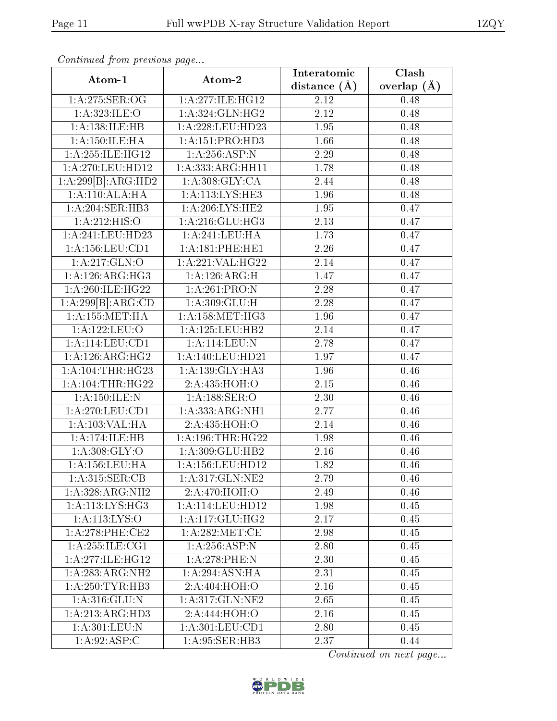| Atom-1              | Atom-2               | Interatomic       | Clash         |
|---------------------|----------------------|-------------------|---------------|
|                     |                      | distance $(A)$    | overlap $(A)$ |
| 1:A:275:SER:OG      | 1: A:277: ILE: HG12  | 2.12              | 0.48          |
| 1: A:323: ILE: O    | 1:A:324:GLN:HG2      | $\overline{2.12}$ | 0.48          |
| 1:A:138:ILE:HB      | 1:A:228:LEU:HD23     | 1.95              | 0.48          |
| 1: A:150: ILE: HA   | 1:A:151:PRO:HD3      | 1.66              | 0.48          |
| 1: A:255: ILE: HG12 | 1:A:256:ASP:N        | 2.29              | 0.48          |
| 1:A:270:LEU:HD12    | 1:A:333:ARG:HH11     | 1.78              | 0.48          |
| 1:A:299[B]:ARG:HD2  | 1: A:308: GLY: CA    | 2.44              | 0.48          |
| 1:A:110:ALA:HA      | 1:A:113:LYS:HE3      | 1.96              | 0.48          |
| 1:A:204:SER:HB3     | 1:A:206:LYS:HE2      | 1.95              | 0.47          |
| 1:A:212:HIS:O       | 1: A:216: GLU:HG3    | 2.13              | 0.47          |
| 1:A:241:LEU:HD23    | 1:A:241:LEU:HA       | 1.73              | 0.47          |
| 1: A: 156: LEU: CD1 | 1:A:181:PHE:HE1      | 2.26              | 0.47          |
| 1:A:217:GLN:O       | 1:A:221:VAL:HG22     | 2.14              | 0.47          |
| 1:A:126:ARG:HG3     | 1:A:126:ARG:H        | 1.47              | 0.47          |
| 1: A:260: ILE:HG22  | 1: A:261:PRO: N      | 2.28              | 0.47          |
| 1:A:299[B]:ARG:CD   | 1: A:309: GLU:H      | 2.28              | 0.47          |
| 1: A: 155: MET: HA  | 1: A: 158: MET:HG3   | 1.96              | 0.47          |
| 1:A:122:LEU:O       | 1: A: 125: LEU: HB2  | 2.14              | 0.47          |
| 1:A:114:LEU:CD1     | 1:A:114:LEU:N        | 2.78              | 0.47          |
| 1: A:126: ARG: HG2  | 1: A:140: LEU: HD21  | 1.97              | 0.47          |
| 1:A:104:THR:HG23    | 1: A: 139: GLY: HA3  | 1.96              | 0.46          |
| 1: A:104:THR:HG22   | 2:A:435:HOH:O        | 2.15              | 0.46          |
| 1: A: 150: ILE:N    | 1:A:188:SER:O        | 2.30              | 0.46          |
| 1: A:270:LEU:CD1    | 1:A:333:ARG:NH1      | 2.77              | 0.46          |
| 1:A:103:VAL:HA      | 2:A:435:HOH:O        | 2.14              | 0.46          |
| 1:A:174:ILE:HB      | 1: A: 196: THR: HG22 | 1.98              | 0.46          |
| 1: A:308: GLY:O     | 1:A:309:GLU:HB2      | 2.16              | 0.46          |
| 1:A:156:LEU:HA      | 1:A:156:LEU:HD12     | 1.82              | 0.46          |
| 1:A:315:SER:CB      | 1: A:317: GLN: NE2   | 2.79              | 0.46          |
| 1:A:328:ARG:NH2     | 2: A:470:HOH:O       | 2.49              | 0.46          |
| 1:A:113:LYS:HG3     | 1:A:114:LEU:HD12     | 1.98              | 0.45          |
| 1: A: 113: LYS: O   | 1: A:117: GLU: HG2   | 2.17              | 0.45          |
| $1: A:278:$ PHE:CE2 | 1: A:282: MET:CE     | 2.98              | 0.45          |
| 1:A:255:ILE:CG1     | 1:A:256:ASP:N        | 2.80              | 0.45          |
| 1: A:277: ILE: HG12 | $1: A:278:$ PHE:N    | 2.30              | 0.45          |
| 1:A:283:ARG:NH2     | 1:A:294:ASN:HA       | 2.31              | 0.45          |
| 1: A:250:TYR:HB3    | 2:A:404:HOH:O        | 2.16              | 0.45          |
| 1: A:316: GLU:N     | 1: A:317: GLN:NE2    | 2.65              | 0.45          |
| 1: A:213: ARG:HD3   | 2:A:444:HOH:O        | 2.16              | 0.45          |
| 1:A:301:LEU:N       | 1: A:301:LEU:CD1     | 2.80              | 0.45          |
| 1:A:92:ASP:C        | 1: A:95: SER:HB3     | 2.37              | 0.44          |

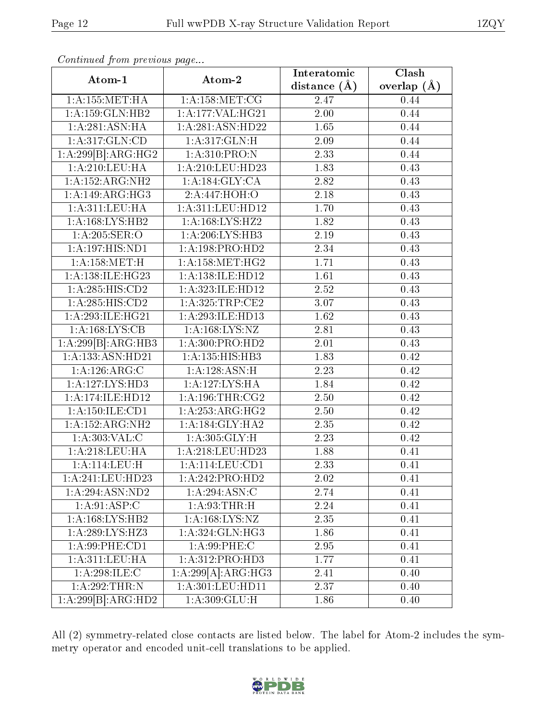| Atom-1              | Atom-2              | Interatomic       | Clash           |
|---------------------|---------------------|-------------------|-----------------|
|                     |                     | distance $(A)$    | overlap $(\AA)$ |
| 1: A: 155: MET: HA  | 1: A: 158: MET: CG  | 2.47              | 0.44            |
| 1:A:159:GLN:HB2     | 1:A:177:VAL:HG21    | 2.00              | 0.44            |
| 1: A:281: ASN: HA   | 1:A:281:ASN:HD22    | 1.65              | 0.44            |
| 1:A:317:GLN:CD      | 1:A:317:GLN:H       | 2.09              | 0.44            |
| 1:A:299[B]:ARG:HG2  | 1:A:310:PRO:N       | 2.33              | 0.44            |
| 1:A:210:LEU:HA      | 1:A:210:LEU:HD23    | 1.83              | 0.43            |
| 1:A:152:ARG:NH2     | 1:A:184:GLY:CA      | 2.82              | 0.43            |
| 1:A:149:ARG:HG3     | 2:A:447:HOH:O       | 2.18              | 0.43            |
| 1: A:311: LEU: HA   | 1:A:311:LEU:HD12    | 1.70              | 0.43            |
| 1: A: 168: LYS: HB2 | 1:A:168:LYS:HZ2     | 1.82              | 0.43            |
| 1:A:205:SER:O       | 1:A:206:LYS:HB3     | 2.19              | 0.43            |
| 1:A:197:HIS:ND1     | 1:A:198:PRO:HD2     | $\overline{2.34}$ | 0.43            |
| 1: A: 158: MET:H    | 1: A: 158: MET:HG2  | 1.71              | 0.43            |
| 1:A:138:ILE:HG23    | 1:A:138:ILE:HD12    | 1.61              | 0.43            |
| 1:A:285:HIS:CD2     | 1:A:323:ILE:HD12    | 2.52              | 0.43            |
| 1:A:285:HIS:CD2     | 1: A:325:TRP:CE2    | 3.07              | 0.43            |
| 1: A:293: ILE: HG21 | 1:A:293:ILE:HD13    | 1.62              | 0.43            |
| 1:A:168:LYS:CB      | 1:A:168:LYS:NZ      | 2.81              | 0.43            |
| 1:A:299[B]:ARG:HB3  | 1:A:300:PRO:HD2     | 2.01              | 0.43            |
| 1:A:133:ASN:HD21    | 1: A: 135: HIS: HB3 | 1.83              | 0.42            |
| 1:A:126:ARG:C       | 1:A:128:ASN:H       | 2.23              | 0.42            |
| 1:A:127:LYS:HD3     | 1:A:127:LYS:HA      | 1.84              | 0.42            |
| 1:A:174:ILE:HD12    | 1: A:196:THR:CG2    | 2.50              | 0.42            |
| 1:A:150:ILE:CD1     | 1: A: 253: ARG: HG2 | 2.50              | 0.42            |
| 1:A:152:ARG:NH2     | 1: A:184: GLY: HA2  | 2.35              | 0.42            |
| 1: A: 303: VAL: C   | 1:A:305:GLY:H       | 2.23              | 0.42            |
| 1:A:218:LEU:HA      | 1:A:218:LEU:HD23    | 1.88              | 0.41            |
| 1: A:114:LEU:H      | 1:A:114:LEU:CD1     | 2.33              | 0.41            |
| 1:A:241:LEU:HD23    | 1:A:242:PRO:HD2     | 2.02              | 0.41            |
| 1:A:294:ASN:ND2     | 1: A:294: ASN:C     | 2.74              | 0.41            |
| 1: A:91: ASP:C      | 1: A:93:THR:H       | 2.24              | 0.41            |
| 1:A:168:LYS:HB2     | 1: A: 168: LYS: NZ  | 2.35              | 0.41            |
| 1:A:289:LYS:HZ3     | 1: A: 324: GLN: HG3 | 1.86              | 0.41            |
| 1: A:99:PHE:CD1     | 1: A:99: PHE: C     | $2.95\,$          | 0.41            |
| 1:A:311:LEU:HA      | 1:A:312:PRO:HD3     | 1.77              | 0.41            |
| 1:A:298:ILE:C       | 1:A:299[A]:ARG:HG3  | 2.41              | 0.40            |
| 1:A:292:THR:N       | 1:A:301:LEU:HD11    | 2.37              | 0.40            |
| 1:A:299[B]:ARG:HD2  | 1: A:309: GLU: H    | 1.86              | 0.40            |

All (2) symmetry-related close contacts are listed below. The label for Atom-2 includes the symmetry operator and encoded unit-cell translations to be applied.

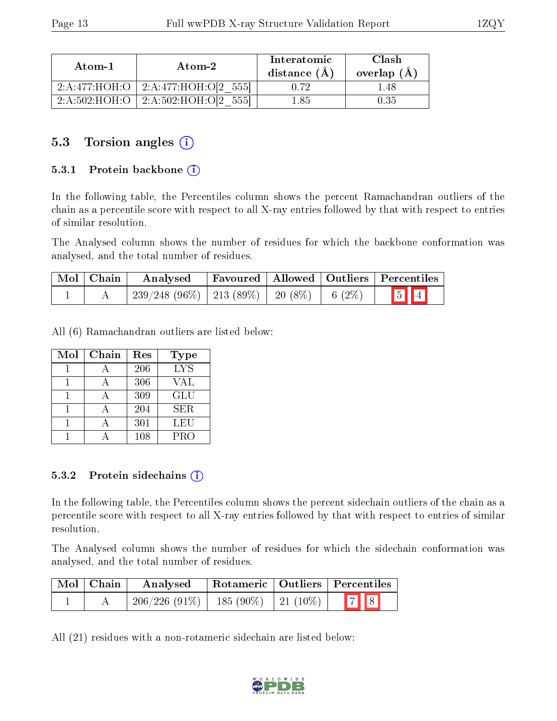| Atom-1 | $\boldsymbol{\mathrm{Atom}\text{-}2}$    | Interatomic<br>distance $(A)$ | Clash<br>overlap $(A)$ |
|--------|------------------------------------------|-------------------------------|------------------------|
|        | 2:A:477:HOH:O   2:A:477:HOH:O[2 555]     | Ո 72                          | -48                    |
|        | $2:A:502:HOH:O$   $2:A:502:HOH:O[2 555]$ | 185                           | 0.35                   |

#### 5.3 Torsion angles (i)

#### 5.3.1 Protein backbone (i)

In the following table, the Percentiles column shows the percent Ramachandran outliers of the chain as a percentile score with respect to all X-ray entries followed by that with respect to entries of similar resolution.

The Analysed column shows the number of residues for which the backbone conformation was analysed, and the total number of residues.

| Mol   Chain | Analysed                                           |  | Favoured   Allowed   Outliers   Percentiles |
|-------------|----------------------------------------------------|--|---------------------------------------------|
|             | $239/248$ (96\%)   213 (89\%)   20 (8\%)   6 (2\%) |  | $\boxed{5}$ $\boxed{4}$                     |

All (6) Ramachandran outliers are listed below:

| Mol | Chain | Res | <b>Type</b> |
|-----|-------|-----|-------------|
|     |       | 206 | <b>LYS</b>  |
|     |       | 306 | VAL         |
|     |       | 309 | GLU         |
|     |       | 204 | SER.        |
|     |       | 301 | LEU         |
|     |       | 108 | <b>PRO</b>  |

#### 5.3.2 Protein sidechains  $(i)$

In the following table, the Percentiles column shows the percent sidechain outliers of the chain as a percentile score with respect to all X-ray entries followed by that with respect to entries of similar resolution.

The Analysed column shows the number of residues for which the sidechain conformation was analysed, and the total number of residues.

| Mol   Chain | Analysed                                  |  | Rotameric   Outliers   Percentiles |
|-------------|-------------------------------------------|--|------------------------------------|
|             | $206/226$ (91\%)   185 (90\%)   21 (10\%) |  |                                    |

All (21) residues with a non-rotameric sidechain are listed below:

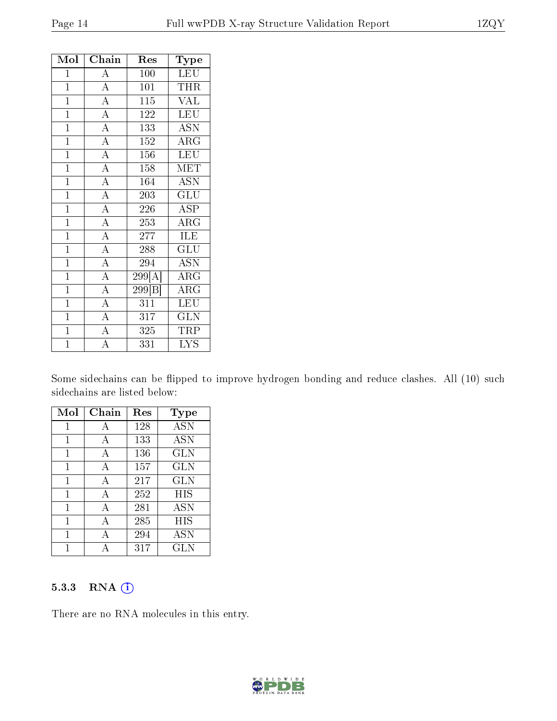| Mol            | Chain              | Res                 | Type                      |
|----------------|--------------------|---------------------|---------------------------|
| $\mathbf{1}$   | $\overline{A}$     | 100                 | <b>LEU</b>                |
| $\overline{1}$ | $\overline{A}$     | 101                 | THR                       |
| $\overline{1}$ | $\overline{\rm A}$ | 115                 | <b>VAL</b>                |
| $\mathbf{1}$   | $\overline{A}$     | 122                 | LEU                       |
| $\mathbf{1}$   | $\overline{A}$     | 133                 | <b>ASN</b>                |
| $\overline{1}$ | $\overline{A}$     | $\overline{152}$    | ARG                       |
| $\overline{1}$ | $\overline{\rm A}$ | 156                 | LEU                       |
| $\mathbf{1}$   | $\overline{A}$     | 158                 | MET                       |
| $\mathbf{1}$   | $\overline{A}$     | 164                 | $\overline{\mathrm{ASN}}$ |
| $\overline{1}$ | $\overline{A}$     | 203                 | $\overline{{\rm GLU}}$    |
| $\overline{1}$ | $\overline{A}$     | 226                 | $\overline{\text{ASP}}$   |
| $\mathbf{1}$   | $\overline{A}$     | 253                 | ARG                       |
| $\overline{1}$ | $\overline{A}$     | 277                 | ILE                       |
| $\mathbf{1}$   | $\overline{A}$     | 288                 | GLU                       |
| $\mathbf{1}$   | $\overline{A}$     | 294                 | <b>ASN</b>                |
| $\overline{1}$ | $\overline{A}$     | 299[A]              | $\rm{\overline{A}RG}$     |
| $\mathbf{1}$   | $\overline{A}$     | $\overline{299 B }$ | $\overline{\rm{ARG}}$     |
| $\overline{1}$ | $\overline{A}$     | $\overline{311}$    | LEU                       |
| $\mathbf{1}$   | $\overline{\rm A}$ | 317                 | <b>GLN</b>                |
| $\mathbf{1}$   | $\overline{A}$     | 325                 | TRP                       |
| $\overline{1}$ | $\overline{\rm A}$ | 331                 | $\overline{\text{LYS}}$   |

Some sidechains can be flipped to improve hydrogen bonding and reduce clashes. All (10) such sidechains are listed below:

| Mol | ${\bf Chain}$ | Res | Type         |
|-----|---------------|-----|--------------|
| 1   | А             | 128 | <b>ASN</b>   |
| 1   | А             | 133 | <b>ASN</b>   |
| 1   | А             | 136 | GLN          |
| 1   | А             | 157 | <b>GLN</b>   |
| 1   | А             | 217 | <b>GLN</b>   |
| 1   | А             | 252 | HIS          |
| 1   | A             | 281 | <b>ASN</b>   |
| 1   | А             | 285 | HIS          |
|     | А             | 294 | ĀSN          |
|     | Δ             | 317 | $_{\rm GLN}$ |

#### 5.3.3 RNA (i)

There are no RNA molecules in this entry.

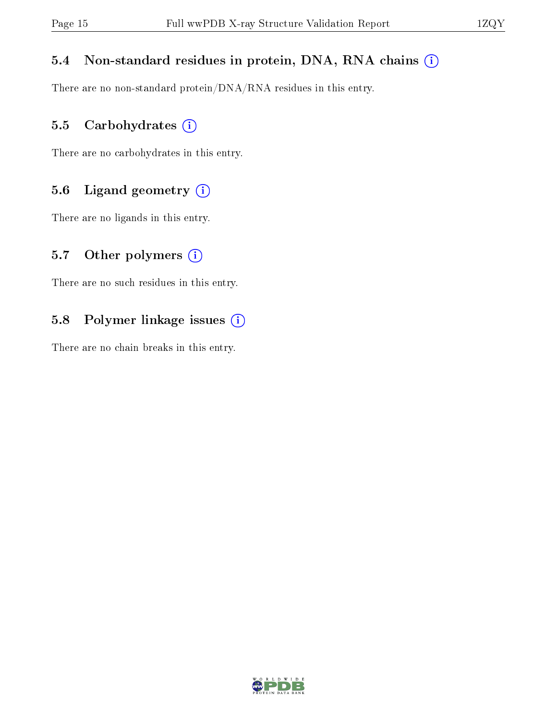#### 5.4 Non-standard residues in protein, DNA, RNA chains (i)

There are no non-standard protein/DNA/RNA residues in this entry.

#### 5.5 Carbohydrates (i)

There are no carbohydrates in this entry.

#### 5.6 Ligand geometry (i)

There are no ligands in this entry.

#### 5.7 [O](https://www.wwpdb.org/validation/2017/XrayValidationReportHelp#nonstandard_residues_and_ligands)ther polymers  $(i)$

There are no such residues in this entry.

#### 5.8 Polymer linkage issues (i)

There are no chain breaks in this entry.